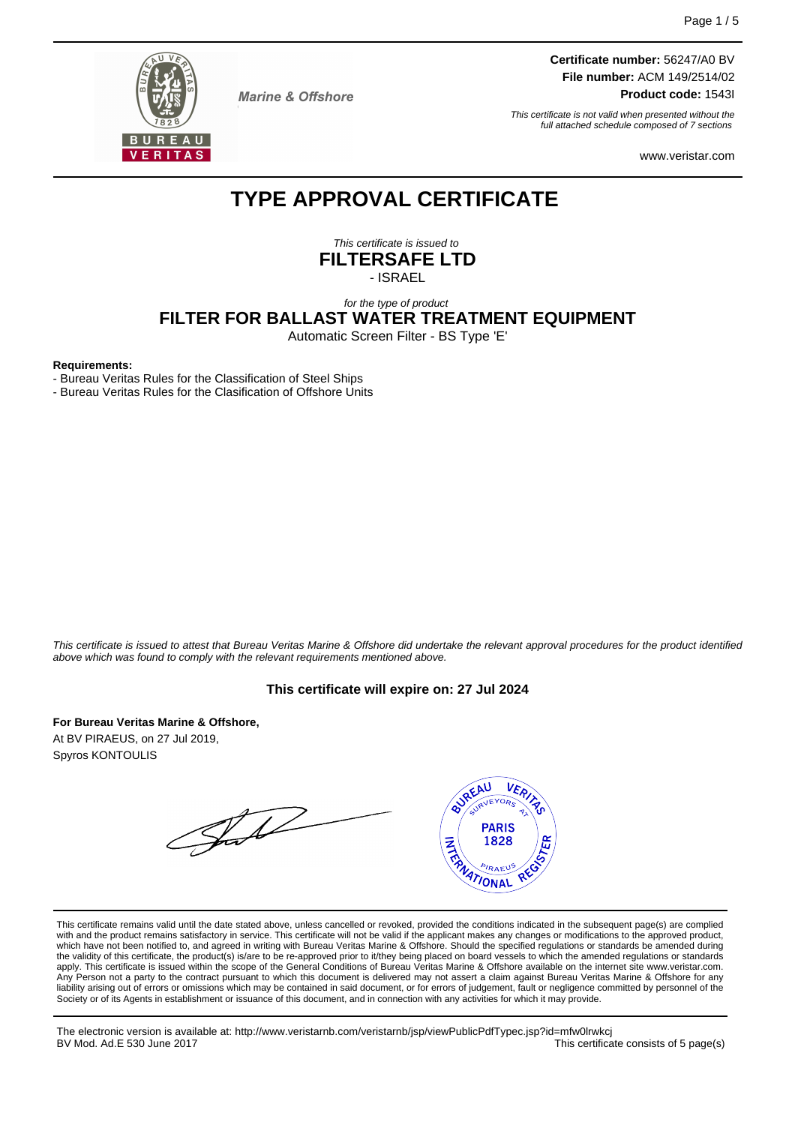

**Marine & Offshore** 

**Certificate number:** 56247/A0 BV **File number:** ACM 149/2514/02

**Product code:** 1543I

This certificate is not valid when presented without the full attached schedule composed of 7 sections

www.veristar.com

# **TYPE APPROVAL CERTIFICATE**

This certificate is issued to **FILTERSAFE LTD** - ISRAEL

## for the type of product **FILTER FOR BALLAST WATER TREATMENT EQUIPMENT**

Automatic Screen Filter - BS Type 'E'

#### **Requirements:**

- Bureau Veritas Rules for the Classification of Steel Ships

- Bureau Veritas Rules for the Clasification of Offshore Units

This certificate is issued to attest that Bureau Veritas Marine & Offshore did undertake the relevant approval procedures for the product identified above which was found to comply with the relevant requirements mentioned above.

#### **This certificate will expire on: 27 Jul 2024**

**For Bureau Veritas Marine & Offshore,**

At BV PIRAEUS, on 27 Jul 2019, Spyros KONTOULIS

Jul



This certificate remains valid until the date stated above, unless cancelled or revoked, provided the conditions indicated in the subsequent page(s) are complied with and the product remains satisfactory in service. This certificate will not be valid if the applicant makes any changes or modifications to the approved product, which have not been notified to, and agreed in writing with Bureau Veritas Marine & Offshore. Should the specified regulations or standards be amended during<br>the validity of this certificate, the product(s) is/are to be re apply. This certificate is issued within the scope of the General Conditions of Bureau Veritas Marine & Offshore available on the internet site www.veristar.com. Any Person not a party to the contract pursuant to which this document is delivered may not assert a claim against Bureau Veritas Marine & Offshore for any liability arising out of errors or omissions which may be contained in said document, or for errors of judgement, fault or negligence committed by personnel of the<br>Society or of its Agents in establishment or issuance of t

The electronic version is available at: http://www.veristarnb.com/veristarnb/jsp/viewPublicPdfTypec.jsp?id=mfw0lrwkcj This certificate consists of 5 page(s)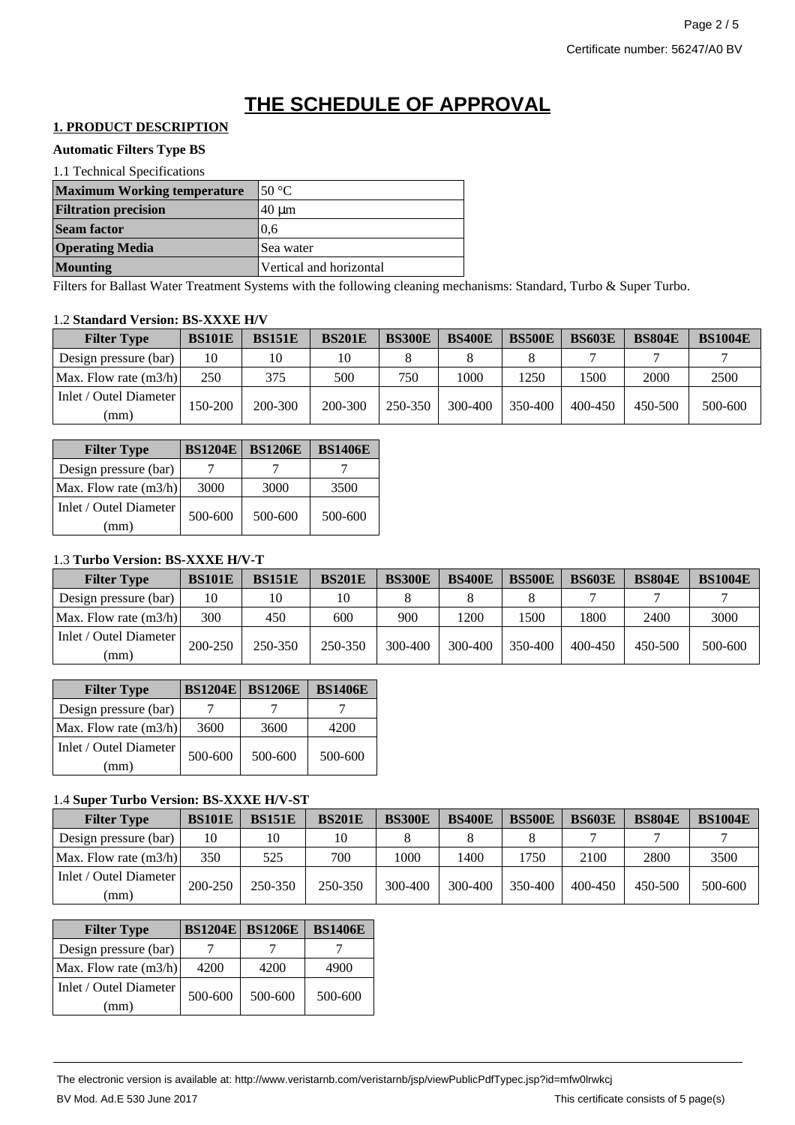# **THE SCHEDULE OF APPROVAL**

# **1. PRODUCT DESCRIPTION**

#### **Automatic Filters Type BS**

| 1.1 Technical Specifications       |                         |  |  |  |  |
|------------------------------------|-------------------------|--|--|--|--|
| <b>Maximum Working temperature</b> | 50 $\mathrm{^{\circ}C}$ |  |  |  |  |
| <b>Filtration precision</b>        | $40 \mu m$              |  |  |  |  |
| <b>Seam factor</b>                 | 0.6                     |  |  |  |  |
| <b>Operating Media</b>             | Sea water               |  |  |  |  |
| <b>Mounting</b>                    | Vertical and horizontal |  |  |  |  |

Filters for Ballast Water Treatment Systems with the following cleaning mechanisms: Standard, Turbo & Super Turbo.

#### 1.2 **Standard Version: BS-XXXE H/V**

| <b>Filter Type</b>             | <b>BS101E</b> | <b>BS151E</b> | <b>BS201E</b> | <b>BS300E</b> | <b>BS400E</b> | <b>BS500E</b> | <b>BS603E</b> | <b>BS804E</b> | <b>BS1004E</b> |
|--------------------------------|---------------|---------------|---------------|---------------|---------------|---------------|---------------|---------------|----------------|
| Design pressure (bar)          | 10            | 10            | 10            |               |               |               |               |               |                |
| Max. Flow rate (m3/h)          | 250           | 375           | 500           | 750           | 1000          | 1250          | 1500          | 2000          | 2500           |
| Inlet / Outel Diameter<br>(mm) | 150-200       | 200-300       | 200-300       | 250-350       | 300-400       | 350-400       | $400 - 450$   | 450-500       | 500-600        |

| <b>Filter Type</b>             | <b>BS1204E</b> | <b>BS1206E</b> | <b>BS1406E</b> |
|--------------------------------|----------------|----------------|----------------|
| Design pressure (bar)          |                |                |                |
| Max. Flow rate $(m3/h)$        | 3000           | 3000           | 3500           |
| Inlet / Outel Diameter<br>(mm) | 500-600        | 500-600        | 500-600        |

## 1.3 **Turbo Version: BS-XXXE H/V-T**

| <b>Filter Type</b>             | <b>BS101E</b> | <b>BS151E</b> | <b>BS201E</b> | <b>BS300E</b> | <b>BS400E</b> | <b>BS500E</b> | <b>BS603E</b> | <b>BS804E</b> | <b>BS1004E</b> |
|--------------------------------|---------------|---------------|---------------|---------------|---------------|---------------|---------------|---------------|----------------|
| Design pressure (bar)          | 10            | 10            |               |               |               |               |               |               |                |
| Max. Flow rate (m3/h)          | 300           | 450           | 600           | 900           | 1200          | 1500          | 1800          | 2400          | 3000           |
| Inlet / Outel Diameter<br>(mm) | $200 - 250$   | 250-350       | 250-350       | 300-400       | 300-400       | 350-400       | $400 - 450$   | 450-500       | 500-600        |

| <b>Filter Type</b>            | <b>BS1204E</b> | <b>BS1206E</b> | <b>BS1406E</b> |
|-------------------------------|----------------|----------------|----------------|
| Design pressure (bar)         |                |                |                |
| Max. Flow rate $(m3/h)$       | 3600           | 3600           | 4200           |
| Inlet / Outel Diameter<br>mm) | 500-600        | 500-600        | 500-600        |

## 1.4 **Super Turbo Version: BS-XXXE H/V-ST**

| <b>Filter Type</b>             | <b>BS101E</b> | <b>BS151E</b> | <b>BS201E</b> | <b>BS300E</b> | <b>BS400E</b> | <b>BS500E</b> | <b>BS603E</b> | <b>BS804E</b> | <b>BS1004E</b> |
|--------------------------------|---------------|---------------|---------------|---------------|---------------|---------------|---------------|---------------|----------------|
| Design pressure (bar)          | 10            | 10            | 10            |               |               |               |               |               |                |
| Max. Flow rate (m3/h)          | 350           | 525           | 700           | 1000          | 1400          | 1750          | 2100          | 2800          | 3500           |
| Inlet / Outel Diameter<br>(mm) | $200 - 250$   | 250-350       | 250-350       | 300-400       | 300-400       | 350-400       | $400 - 450$   | 450-500       | 500-600        |

| <b>Filter Type</b>            | <b>BS1204E</b> | <b>BS1206E</b> | <b>BS1406E</b> |
|-------------------------------|----------------|----------------|----------------|
| Design pressure (bar)         |                |                |                |
| Max. Flow rate $(m3/h)$       | 4200           | 4200           | 4900           |
| Inlet / Outel Diameter<br>mm) | 500-600        | 500-600        | 500-600        |

The electronic version is available at: http://www.veristarnb.com/veristarnb/jsp/viewPublicPdfTypec.jsp?id=mfw0lrwkcj BV Mod. Ad.E 530 June 2017 **This certificate consists of 5 page(s)**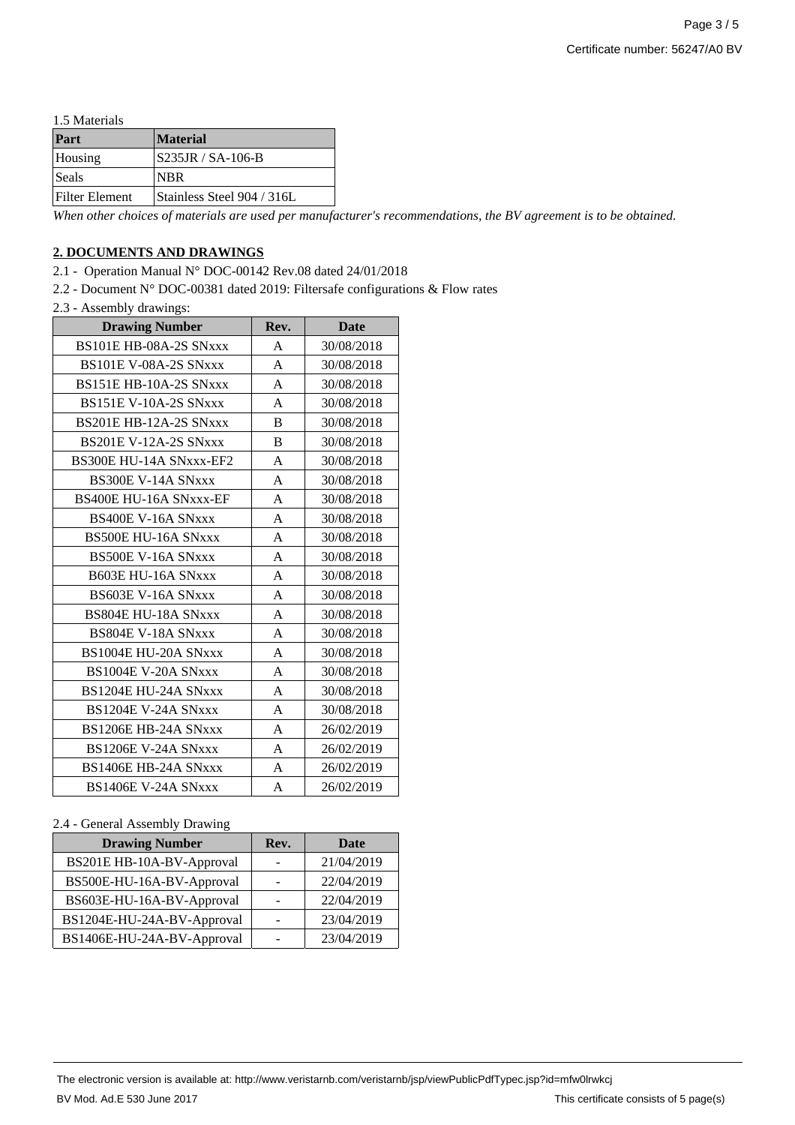1.5 Materials

| Part                  | <b>Material</b>            |
|-----------------------|----------------------------|
| Housing               | <b>S235JR / SA-106-B</b>   |
| Seals                 | <b>NBR</b>                 |
| <b>Filter Element</b> | Stainless Steel 904 / 316L |

*When other choices of materials are used per manufacturer's recommendations, the BV agreement is to be obtained.*

### **2. DOCUMENTS AND DRAWINGS**

2.1 - Operation Manual N° DOC-00142 Rev.08 dated 24/01/2018

2.2 - Document N° DOC-00381 dated 2019: Filtersafe configurations & Flow rates

2.3 - Assembly drawings:

| <b>Drawing Number</b>         | Rev. | <b>Date</b> |
|-------------------------------|------|-------------|
| BS101E HB-08A-2S SNxxx        | A    | 30/08/2018  |
| BS101E V-08A-2S SNxxx         | A    | 30/08/2018  |
| BS151E HB-10A-2S SNxxx        | A    | 30/08/2018  |
| <b>BS151E V-10A-2S SNxxx</b>  | A    | 30/08/2018  |
| BS201E HB-12A-2S SNxxx        | B    | 30/08/2018  |
| <b>BS201E V-12A-2S SNxxx</b>  | B    | 30/08/2018  |
| BS300E HU-14A SNxxx-EF2       | A    | 30/08/2018  |
| <b>BS300E V-14A SNxxx</b>     | A    | 30/08/2018  |
| <b>BS400E HU-16A SNxxx-EF</b> | A    | 30/08/2018  |
| <b>BS400E V-16A SNxxx</b>     | A    | 30/08/2018  |
| <b>BS500E HU-16A SNxxx</b>    | A    | 30/08/2018  |
| <b>BS500E V-16A SNxxx</b>     | A    | 30/08/2018  |
| <b>B603E HU-16A SNxxx</b>     | A    | 30/08/2018  |
| <b>BS603E V-16A SNxxx</b>     | A    | 30/08/2018  |
| <b>BS804E HU-18A SNxxx</b>    | A    | 30/08/2018  |
| BS804E V-18A SNxxx            | A    | 30/08/2018  |
| BS1004E HU-20A SNxxx          | A    | 30/08/2018  |
| BS1004E V-20A SNxxx           | A    | 30/08/2018  |
| BS1204E HU-24A SNxxx          | A    | 30/08/2018  |
| BS1204E V-24A SNxxx           | A    | 30/08/2018  |
| <b>BS1206E HB-24A SNxxx</b>   | A    | 26/02/2019  |
| BS1206E V-24A SNxxx           | A    | 26/02/2019  |
| BS1406E HB-24A SNxxx          | A    | 26/02/2019  |
| <b>BS1406E V-24A SNxxx</b>    | A    | 26/02/2019  |

#### 2.4 - General Assembly Drawing

| <b>Drawing Number</b>      | Rev. | Date       |
|----------------------------|------|------------|
| BS201E HB-10A-BV-Approval  |      | 21/04/2019 |
| BS500E-HU-16A-BV-Approval  |      | 22/04/2019 |
| BS603E-HU-16A-BV-Approval  |      | 22/04/2019 |
| BS1204E-HU-24A-BV-Approval |      | 23/04/2019 |
| BS1406E-HU-24A-BV-Approval |      | 23/04/2019 |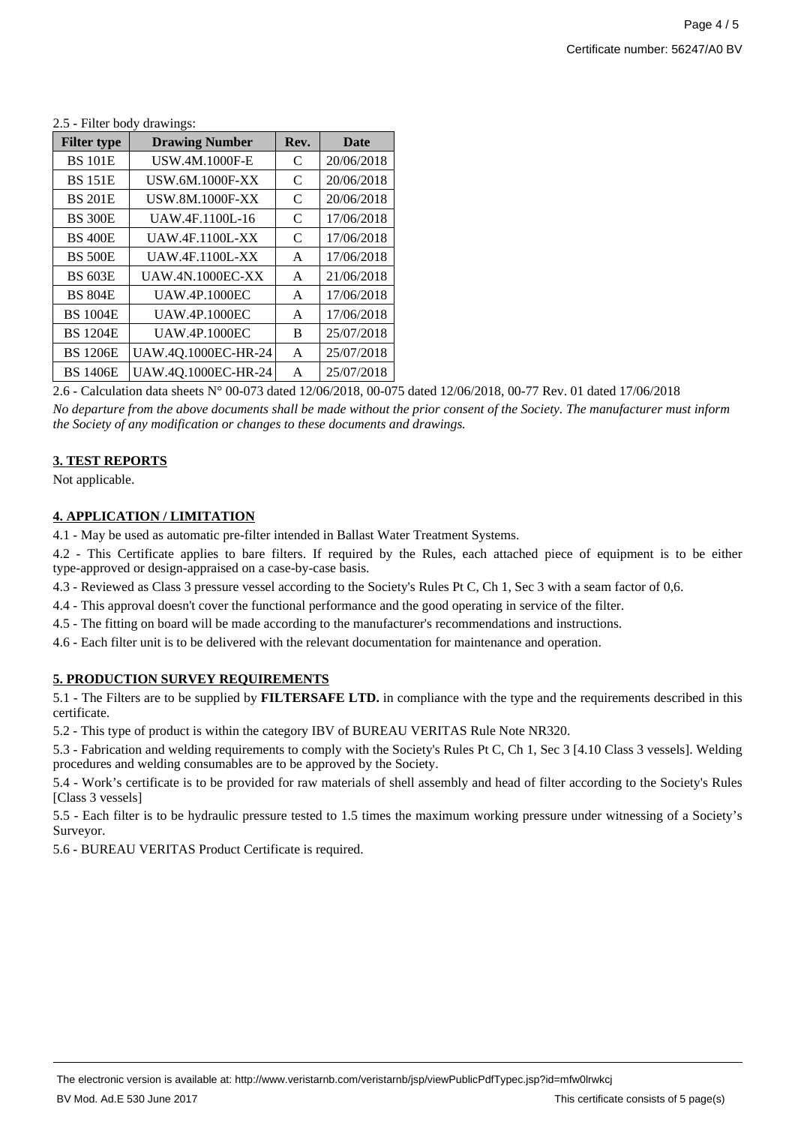| <b>Filter type</b> | <b>Drawing Number</b>   | Rev. | <b>Date</b> |
|--------------------|-------------------------|------|-------------|
| <b>BS 101E</b>     | <b>USW.4M.1000F-E</b>   | C    | 20/06/2018  |
| <b>BS 151E</b>     | <b>USW.6M.1000F-XX</b>  | C    | 20/06/2018  |
| <b>BS 201E</b>     | <b>USW.8M.1000F-XX</b>  | C    | 20/06/2018  |
| <b>BS 300E</b>     | UAW.4F.1100L-16         | C    | 17/06/2018  |
| <b>BS 400E</b>     | <b>UAW.4F.1100L-XX</b>  | C    | 17/06/2018  |
| <b>BS 500E</b>     | <b>UAW.4F.1100L-XX</b>  | A    | 17/06/2018  |
| <b>BS 603E</b>     | <b>UAW.4N.1000EC-XX</b> | A    | 21/06/2018  |
| <b>BS 804E</b>     | <b>UAW.4P.1000EC</b>    | A    | 17/06/2018  |
| <b>BS 1004E</b>    | <b>UAW.4P.1000EC</b>    | A    | 17/06/2018  |
| <b>BS 1204E</b>    | <b>UAW.4P.1000EC</b>    | B    | 25/07/2018  |
| <b>BS 1206E</b>    | UAW.4Q.1000EC-HR-24     | A    | 25/07/2018  |
| <b>BS 1406E</b>    | UAW.4Q.1000EC-HR-24     | A    | 25/07/2018  |

2.5 - Filter body drawings:

2.6 - Calculation data sheets N° 00-073 dated 12/06/2018, 00-075 dated 12/06/2018, 00-77 Rev. 01 dated 17/06/2018 *No departure from the above documents shall be made without the prior consent of the Society. The manufacturer must inform the Society of any modification or changes to these documents and drawings.*

### **3. TEST REPORTS**

Not applicable.

## **4. APPLICATION / LIMITATION**

4.1 - May be used as automatic pre-filter intended in Ballast Water Treatment Systems.

4.2 - This Certificate applies to bare filters. If required by the Rules, each attached piece of equipment is to be either type-approved or design-appraised on a case-by-case basis.

4.3 - Reviewed as Class 3 pressure vessel according to the Society's Rules Pt C, Ch 1, Sec 3 with a seam factor of 0,6.

- 4.4 This approval doesn't cover the functional performance and the good operating in service of the filter.
- 4.5 The fitting on board will be made according to the manufacturer's recommendations and instructions.
- 4.6 Each filter unit is to be delivered with the relevant documentation for maintenance and operation.

## **5. PRODUCTION SURVEY REQUIREMENTS**

5.1 - The Filters are to be supplied by **FILTERSAFE LTD.** in compliance with the type and the requirements described in this certificate.

5.2 - This type of product is within the category IBV of BUREAU VERITAS Rule Note NR320.

5.3 - Fabrication and welding requirements to comply with the Society's Rules Pt C, Ch 1, Sec 3 [4.10 Class 3 vessels]. Welding procedures and welding consumables are to be approved by the Society.

5.4 - Work's certificate is to be provided for raw materials of shell assembly and head of filter according to the Society's Rules [Class 3 vessels]

5.5 - Each filter is to be hydraulic pressure tested to 1.5 times the maximum working pressure under witnessing of a Society's Surveyor.

5.6 - BUREAU VERITAS Product Certificate is required.